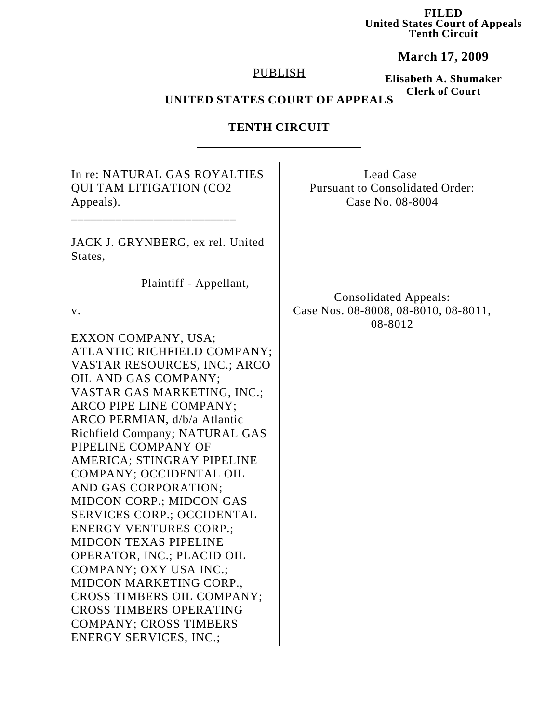**FILED United States Court of Appeals Tenth Circuit**

**March 17, 2009**

### PUBLISH

**Elisabeth A. Shumaker Clerk of Court**

# **UNITED STATES COURT OF APPEALS**

# **TENTH CIRCUIT**

| In re: NATURAL GAS ROYALTIES<br><b>QUI TAM LITIGATION (CO2</b><br>Appeals).                                                           | Lead Case<br><b>Pursuant to Consolidated Order:</b><br>Case No. 08-8004 |
|---------------------------------------------------------------------------------------------------------------------------------------|-------------------------------------------------------------------------|
| JACK J. GRYNBERG, ex rel. United<br>States,                                                                                           |                                                                         |
| Plaintiff - Appellant,<br>V.                                                                                                          | <b>Consolidated Appeals:</b><br>Case Nos. 08-8008, 08-8010, 08-8011,    |
| EXXON COMPANY, USA;<br>ATLANTIC RICHFIELD COMPANY;<br>VASTAR RESOURCES, INC.; ARCO                                                    | 08-8012                                                                 |
| OIL AND GAS COMPANY;<br>VASTAR GAS MARKETING, INC.;<br>ARCO PIPE LINE COMPANY;                                                        |                                                                         |
| ARCO PERMIAN, d/b/a Atlantic<br>Richfield Company; NATURAL GAS<br>PIPELINE COMPANY OF                                                 |                                                                         |
| AMERICA; STINGRAY PIPELINE<br>COMPANY; OCCIDENTAL OIL<br>AND GAS CORPORATION;<br><b>MIDCON CORP.; MIDCON GAS</b>                      |                                                                         |
| <b>SERVICES CORP.; OCCIDENTAL</b><br><b>ENERGY VENTURES CORP.;</b><br><b>MIDCON TEXAS PIPELINE</b>                                    |                                                                         |
| OPERATOR, INC.; PLACID OIL<br><b>COMPANY; OXY USA INC.;</b><br>MIDCON MARKETING CORP.,                                                |                                                                         |
| <b>CROSS TIMBERS OIL COMPANY;</b><br><b>CROSS TIMBERS OPERATING</b><br><b>COMPANY; CROSS TIMBERS</b><br><b>ENERGY SERVICES, INC.;</b> |                                                                         |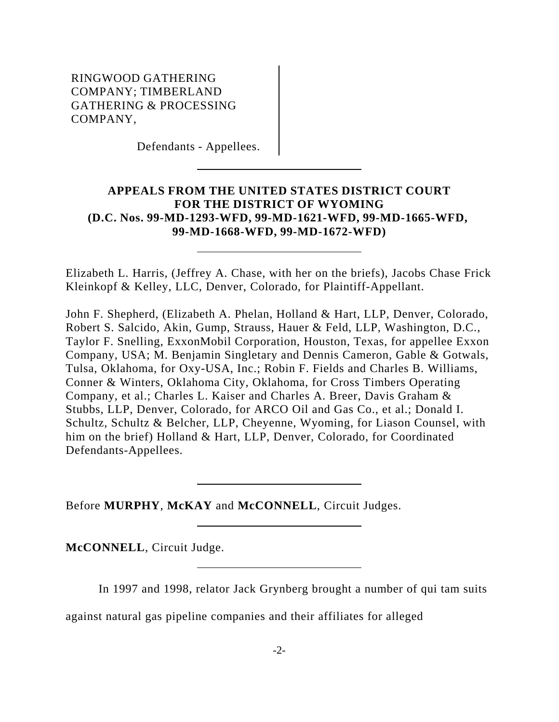Defendants - Appellees.

## **APPEALS FROM THE UNITED STATES DISTRICT COURT FOR THE DISTRICT OF WYOMING (D.C. Nos. 99-MD-1293-WFD, 99-MD-1621-WFD, 99-MD-1665-WFD, 99-MD-1668-WFD, 99-MD-1672-WFD)**

Elizabeth L. Harris, (Jeffrey A. Chase, with her on the briefs), Jacobs Chase Frick Kleinkopf & Kelley, LLC, Denver, Colorado, for Plaintiff-Appellant.

John F. Shepherd, (Elizabeth A. Phelan, Holland & Hart, LLP, Denver, Colorado, Robert S. Salcido, Akin, Gump, Strauss, Hauer & Feld, LLP, Washington, D.C., Taylor F. Snelling, ExxonMobil Corporation, Houston, Texas, for appellee Exxon Company, USA; M. Benjamin Singletary and Dennis Cameron, Gable & Gotwals, Tulsa, Oklahoma, for Oxy-USA, Inc.; Robin F. Fields and Charles B. Williams, Conner & Winters, Oklahoma City, Oklahoma, for Cross Timbers Operating Company, et al.; Charles L. Kaiser and Charles A. Breer, Davis Graham & Stubbs, LLP, Denver, Colorado, for ARCO Oil and Gas Co., et al.; Donald I. Schultz, Schultz & Belcher, LLP, Cheyenne, Wyoming, for Liason Counsel, with him on the brief) Holland & Hart, LLP, Denver, Colorado, for Coordinated Defendants-Appellees.

Before **MURPHY**, **McKAY** and **McCONNELL**, Circuit Judges.

**McCONNELL**, Circuit Judge.

In 1997 and 1998, relator Jack Grynberg brought a number of qui tam suits

against natural gas pipeline companies and their affiliates for alleged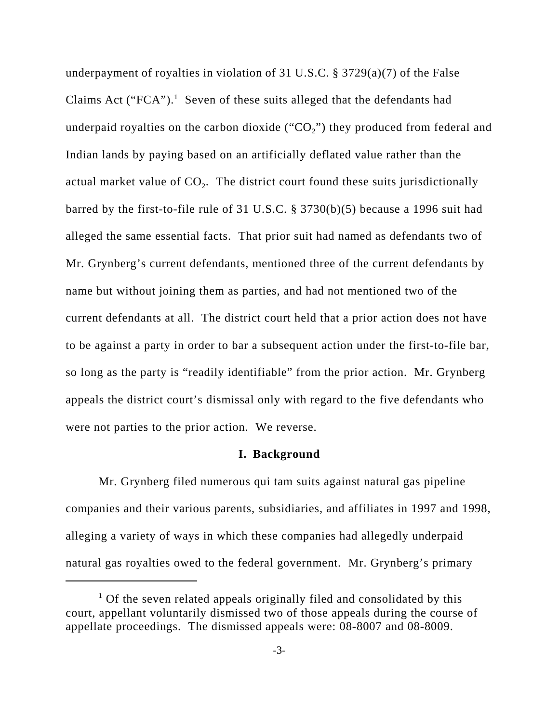underpayment of royalties in violation of 31 U.S.C. § 3729(a)(7) of the False Claims Act ("FCA").<sup>1</sup> Seven of these suits alleged that the defendants had underpaid royalties on the carbon dioxide (" $CO<sub>2</sub>$ ") they produced from federal and Indian lands by paying based on an artificially deflated value rather than the actual market value of  $CO<sub>2</sub>$ . The district court found these suits jurisdictionally barred by the first-to-file rule of 31 U.S.C. § 3730(b)(5) because a 1996 suit had alleged the same essential facts. That prior suit had named as defendants two of Mr. Grynberg's current defendants, mentioned three of the current defendants by name but without joining them as parties, and had not mentioned two of the current defendants at all. The district court held that a prior action does not have to be against a party in order to bar a subsequent action under the first-to-file bar, so long as the party is "readily identifiable" from the prior action. Mr. Grynberg appeals the district court's dismissal only with regard to the five defendants who were not parties to the prior action. We reverse.

#### **I. Background**

Mr. Grynberg filed numerous qui tam suits against natural gas pipeline companies and their various parents, subsidiaries, and affiliates in 1997 and 1998, alleging a variety of ways in which these companies had allegedly underpaid natural gas royalties owed to the federal government. Mr. Grynberg's primary

<sup>&</sup>lt;sup>1</sup> Of the seven related appeals originally filed and consolidated by this court, appellant voluntarily dismissed two of those appeals during the course of appellate proceedings. The dismissed appeals were: 08-8007 and 08-8009.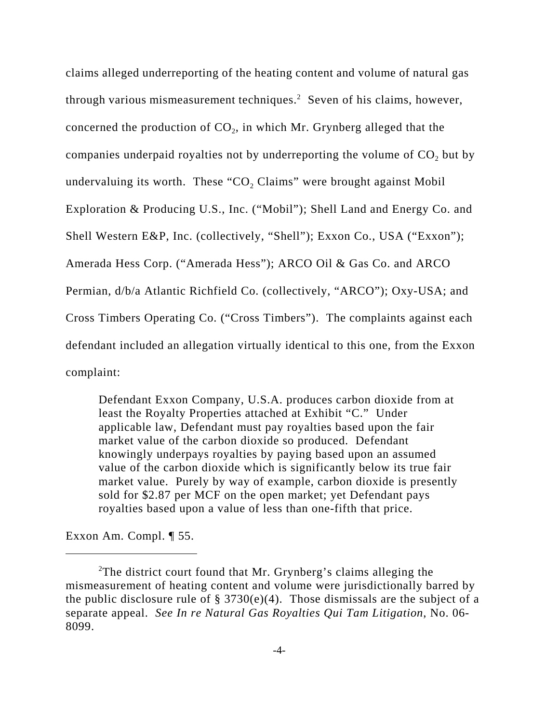claims alleged underreporting of the heating content and volume of natural gas through various mismeasurement techniques.<sup>2</sup> Seven of his claims, however, concerned the production of  $CO<sub>2</sub>$ , in which Mr. Grynberg alleged that the companies underpaid royalties not by underreporting the volume of CO<sub>2</sub> but by undervaluing its worth. These "CO<sub>2</sub> Claims" were brought against Mobil Exploration & Producing U.S., Inc. ("Mobil"); Shell Land and Energy Co. and Shell Western E&P, Inc. (collectively, "Shell"); Exxon Co., USA ("Exxon"); Amerada Hess Corp. ("Amerada Hess"); ARCO Oil & Gas Co. and ARCO Permian, d/b/a Atlantic Richfield Co. (collectively, "ARCO"); Oxy-USA; and Cross Timbers Operating Co. ("Cross Timbers"). The complaints against each defendant included an allegation virtually identical to this one, from the Exxon complaint:

Defendant Exxon Company, U.S.A. produces carbon dioxide from at least the Royalty Properties attached at Exhibit "C." Under applicable law, Defendant must pay royalties based upon the fair market value of the carbon dioxide so produced. Defendant knowingly underpays royalties by paying based upon an assumed value of the carbon dioxide which is significantly below its true fair market value. Purely by way of example, carbon dioxide is presently sold for \$2.87 per MCF on the open market; yet Defendant pays royalties based upon a value of less than one-fifth that price.

Exxon Am. Compl. ¶ 55.

<sup>&</sup>lt;sup>2</sup>The district court found that Mr. Grynberg's claims alleging the mismeasurement of heating content and volume were jurisdictionally barred by the public disclosure rule of  $\S 3730(e)(4)$ . Those dismissals are the subject of a separate appeal. *See In re Natural Gas Royalties Qui Tam Litigation*, No. 06- 8099.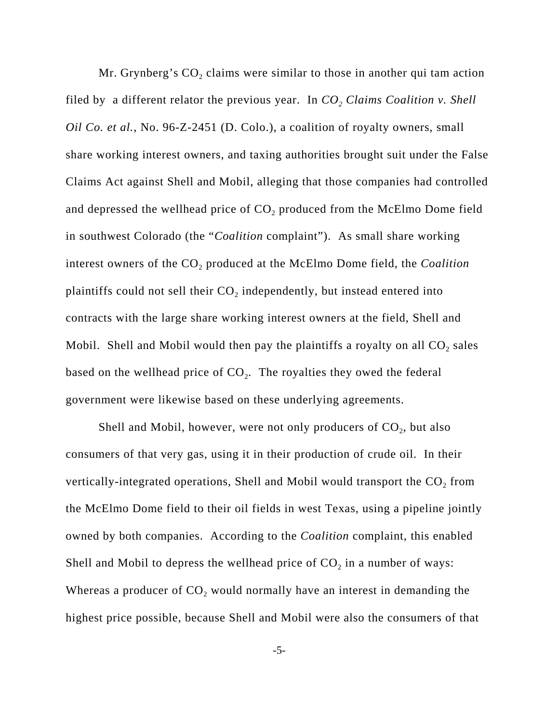Mr. Grynberg's  $CO<sub>2</sub>$  claims were similar to those in another qui tam action filed by a different relator the previous year. In  $CO<sub>2</sub>$  Claims Coalition v. Shell *Oil Co. et al.*, No. 96-Z-2451 (D. Colo.), a coalition of royalty owners, small share working interest owners, and taxing authorities brought suit under the False Claims Act against Shell and Mobil, alleging that those companies had controlled and depressed the wellhead price of  $CO<sub>2</sub>$  produced from the McElmo Dome field in southwest Colorado (the "*Coalition* complaint"). As small share working interest owners of the CO<sub>2</sub> produced at the McElmo Dome field, the *Coalition* plaintiffs could not sell their  $CO<sub>2</sub>$  independently, but instead entered into contracts with the large share working interest owners at the field, Shell and Mobil. Shell and Mobil would then pay the plaintiffs a royalty on all  $CO<sub>2</sub>$  sales based on the wellhead price of  $CO<sub>2</sub>$ . The royalties they owed the federal government were likewise based on these underlying agreements.

Shell and Mobil, however, were not only producers of  $CO<sub>2</sub>$ , but also consumers of that very gas, using it in their production of crude oil. In their vertically-integrated operations, Shell and Mobil would transport the  $CO<sub>2</sub>$  from the McElmo Dome field to their oil fields in west Texas, using a pipeline jointly owned by both companies. According to the *Coalition* complaint, this enabled Shell and Mobil to depress the wellhead price of  $CO<sub>2</sub>$  in a number of ways: Whereas a producer of  $CO<sub>2</sub>$  would normally have an interest in demanding the highest price possible, because Shell and Mobil were also the consumers of that

-5-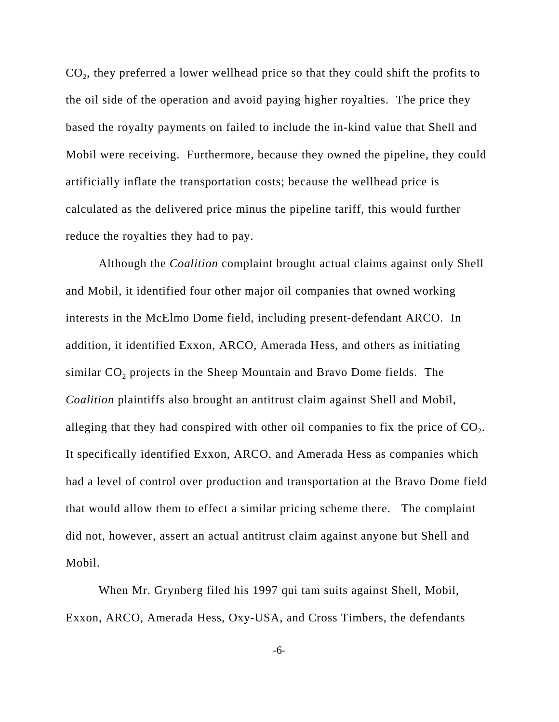CO<sub>2</sub>, they preferred a lower wellhead price so that they could shift the profits to the oil side of the operation and avoid paying higher royalties. The price they based the royalty payments on failed to include the in-kind value that Shell and Mobil were receiving. Furthermore, because they owned the pipeline, they could artificially inflate the transportation costs; because the wellhead price is calculated as the delivered price minus the pipeline tariff, this would further reduce the royalties they had to pay.

Although the *Coalition* complaint brought actual claims against only Shell and Mobil, it identified four other major oil companies that owned working interests in the McElmo Dome field, including present-defendant ARCO. In addition, it identified Exxon, ARCO, Amerada Hess, and others as initiating similar  $CO<sub>2</sub>$  projects in the Sheep Mountain and Bravo Dome fields. The *Coalition* plaintiffs also brought an antitrust claim against Shell and Mobil, alleging that they had conspired with other oil companies to fix the price of  $CO<sub>2</sub>$ . It specifically identified Exxon, ARCO, and Amerada Hess as companies which had a level of control over production and transportation at the Bravo Dome field that would allow them to effect a similar pricing scheme there. The complaint did not, however, assert an actual antitrust claim against anyone but Shell and Mobil.

When Mr. Grynberg filed his 1997 qui tam suits against Shell, Mobil, Exxon, ARCO, Amerada Hess, Oxy-USA, and Cross Timbers, the defendants

-6-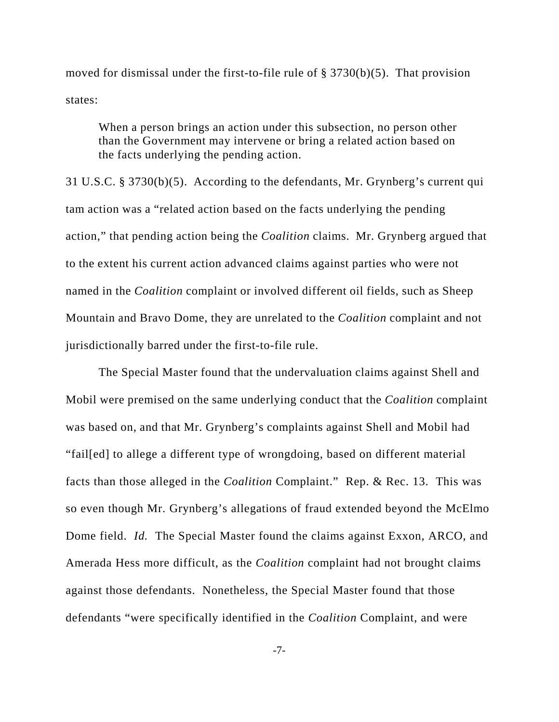moved for dismissal under the first-to-file rule of  $\S 3730(b)(5)$ . That provision states:

When a person brings an action under this subsection, no person other than the Government may intervene or bring a related action based on the facts underlying the pending action.

31 U.S.C. § 3730(b)(5). According to the defendants, Mr. Grynberg's current qui tam action was a "related action based on the facts underlying the pending action," that pending action being the *Coalition* claims. Mr. Grynberg argued that to the extent his current action advanced claims against parties who were not named in the *Coalition* complaint or involved different oil fields, such as Sheep Mountain and Bravo Dome, they are unrelated to the *Coalition* complaint and not jurisdictionally barred under the first-to-file rule.

The Special Master found that the undervaluation claims against Shell and Mobil were premised on the same underlying conduct that the *Coalition* complaint was based on, and that Mr. Grynberg's complaints against Shell and Mobil had "fail[ed] to allege a different type of wrongdoing, based on different material facts than those alleged in the *Coalition* Complaint." Rep. & Rec. 13. This was so even though Mr. Grynberg's allegations of fraud extended beyond the McElmo Dome field. *Id.* The Special Master found the claims against Exxon, ARCO, and Amerada Hess more difficult, as the *Coalition* complaint had not brought claims against those defendants. Nonetheless, the Special Master found that those defendants "were specifically identified in the *Coalition* Complaint, and were

-7-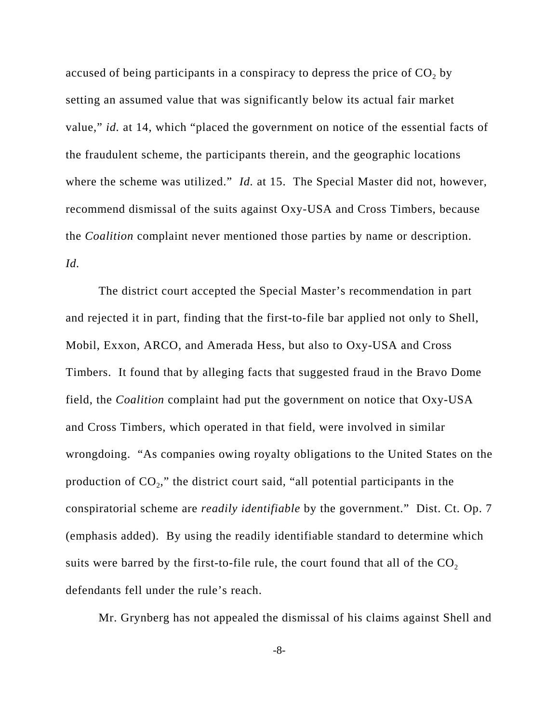accused of being participants in a conspiracy to depress the price of  $CO<sub>2</sub>$  by setting an assumed value that was significantly below its actual fair market value," *id.* at 14, which "placed the government on notice of the essential facts of the fraudulent scheme, the participants therein, and the geographic locations where the scheme was utilized." *Id.* at 15. The Special Master did not, however, recommend dismissal of the suits against Oxy-USA and Cross Timbers, because the *Coalition* complaint never mentioned those parties by name or description. *Id.*

The district court accepted the Special Master's recommendation in part and rejected it in part, finding that the first-to-file bar applied not only to Shell, Mobil, Exxon, ARCO, and Amerada Hess, but also to Oxy-USA and Cross Timbers. It found that by alleging facts that suggested fraud in the Bravo Dome field, the *Coalition* complaint had put the government on notice that Oxy-USA and Cross Timbers, which operated in that field, were involved in similar wrongdoing. "As companies owing royalty obligations to the United States on the production of  $CO<sub>2</sub>$ ," the district court said, "all potential participants in the conspiratorial scheme are *readily identifiable* by the government." Dist. Ct. Op. 7 (emphasis added). By using the readily identifiable standard to determine which suits were barred by the first-to-file rule, the court found that all of the  $CO<sub>2</sub>$ defendants fell under the rule's reach.

Mr. Grynberg has not appealed the dismissal of his claims against Shell and

-8-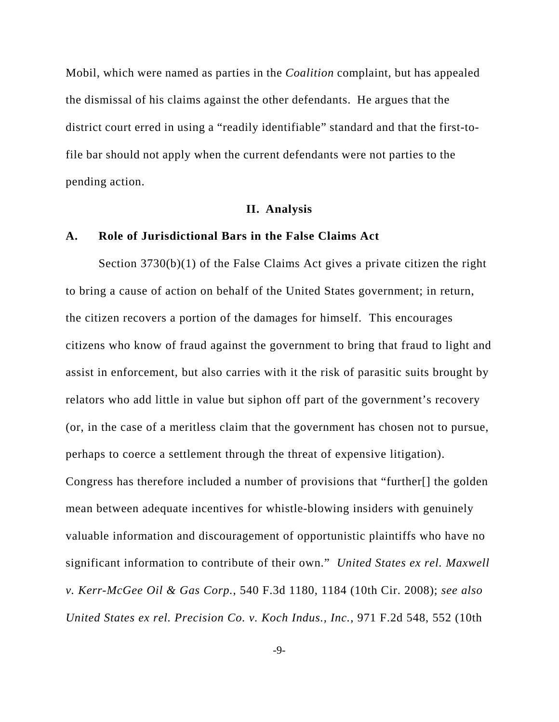Mobil, which were named as parties in the *Coalition* complaint, but has appealed the dismissal of his claims against the other defendants. He argues that the district court erred in using a "readily identifiable" standard and that the first-tofile bar should not apply when the current defendants were not parties to the pending action.

#### **II. Analysis**

#### **A. Role of Jurisdictional Bars in the False Claims Act**

Section 3730(b)(1) of the False Claims Act gives a private citizen the right to bring a cause of action on behalf of the United States government; in return, the citizen recovers a portion of the damages for himself. This encourages citizens who know of fraud against the government to bring that fraud to light and assist in enforcement, but also carries with it the risk of parasitic suits brought by relators who add little in value but siphon off part of the government's recovery (or, in the case of a meritless claim that the government has chosen not to pursue, perhaps to coerce a settlement through the threat of expensive litigation). Congress has therefore included a number of provisions that "further[] the golden mean between adequate incentives for whistle-blowing insiders with genuinely valuable information and discouragement of opportunistic plaintiffs who have no significant information to contribute of their own." *United States ex rel. Maxwell v. Kerr-McGee Oil & Gas Corp.*, 540 F.3d 1180, 1184 (10th Cir. 2008); *see also United States ex rel. Precision Co. v. Koch Indus., Inc.*, 971 F.2d 548, 552 (10th

-9-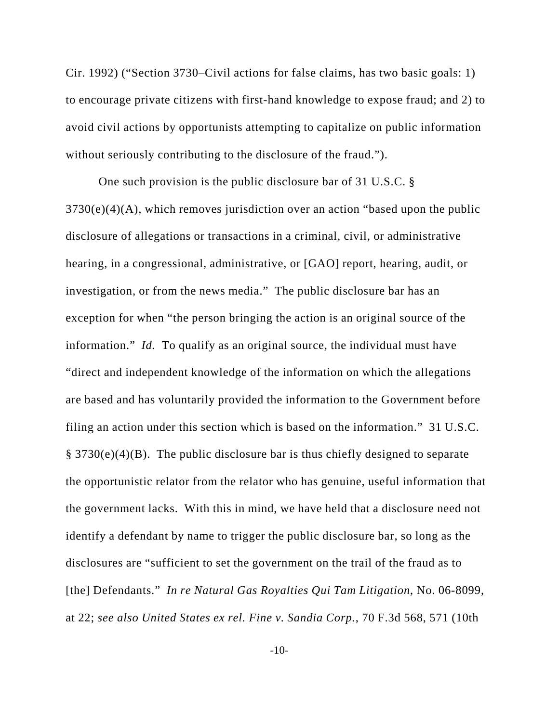Cir. 1992) ("Section 3730–Civil actions for false claims, has two basic goals: 1) to encourage private citizens with first-hand knowledge to expose fraud; and 2) to avoid civil actions by opportunists attempting to capitalize on public information without seriously contributing to the disclosure of the fraud.").

One such provision is the public disclosure bar of 31 U.S.C. §  $3730(e)(4)(A)$ , which removes jurisdiction over an action "based upon the public disclosure of allegations or transactions in a criminal, civil, or administrative hearing, in a congressional, administrative, or [GAO] report, hearing, audit, or investigation, or from the news media." The public disclosure bar has an exception for when "the person bringing the action is an original source of the information." *Id.* To qualify as an original source, the individual must have "direct and independent knowledge of the information on which the allegations are based and has voluntarily provided the information to the Government before filing an action under this section which is based on the information." 31 U.S.C. § 3730(e)(4)(B). The public disclosure bar is thus chiefly designed to separate the opportunistic relator from the relator who has genuine, useful information that the government lacks. With this in mind, we have held that a disclosure need not identify a defendant by name to trigger the public disclosure bar, so long as the disclosures are "sufficient to set the government on the trail of the fraud as to [the] Defendants." *In re Natural Gas Royalties Qui Tam Litigation*, No. 06-8099, at 22; *see also United States ex rel. Fine v. Sandia Corp.*, 70 F.3d 568, 571 (10th

-10-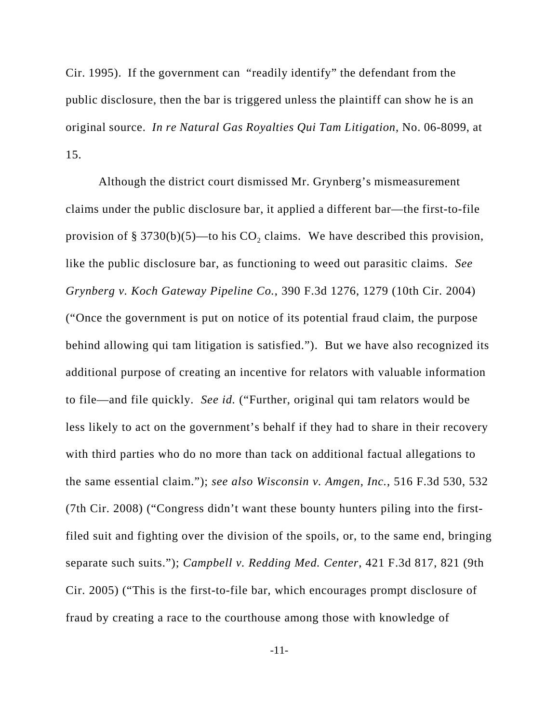Cir. 1995). If the government can "readily identify" the defendant from the public disclosure, then the bar is triggered unless the plaintiff can show he is an original source. *In re Natural Gas Royalties Qui Tam Litigation*, No. 06-8099, at 15.

Although the district court dismissed Mr. Grynberg's mismeasurement claims under the public disclosure bar, it applied a different bar—the first-to-file provision of § 3730(b)(5)—to his  $CO<sub>2</sub>$  claims. We have described this provision, like the public disclosure bar, as functioning to weed out parasitic claims. *See Grynberg v. Koch Gateway Pipeline Co.*, 390 F.3d 1276, 1279 (10th Cir. 2004) ("Once the government is put on notice of its potential fraud claim, the purpose behind allowing qui tam litigation is satisfied."). But we have also recognized its additional purpose of creating an incentive for relators with valuable information to file—and file quickly. *See id.* ("Further, original qui tam relators would be less likely to act on the government's behalf if they had to share in their recovery with third parties who do no more than tack on additional factual allegations to the same essential claim."); *see also Wisconsin v. Amgen, Inc.*, 516 F.3d 530, 532 (7th Cir. 2008) ("Congress didn't want these bounty hunters piling into the firstfiled suit and fighting over the division of the spoils, or, to the same end, bringing separate such suits."); *Campbell v. Redding Med. Center*, 421 F.3d 817, 821 (9th Cir. 2005) ("This is the first-to-file bar, which encourages prompt disclosure of fraud by creating a race to the courthouse among those with knowledge of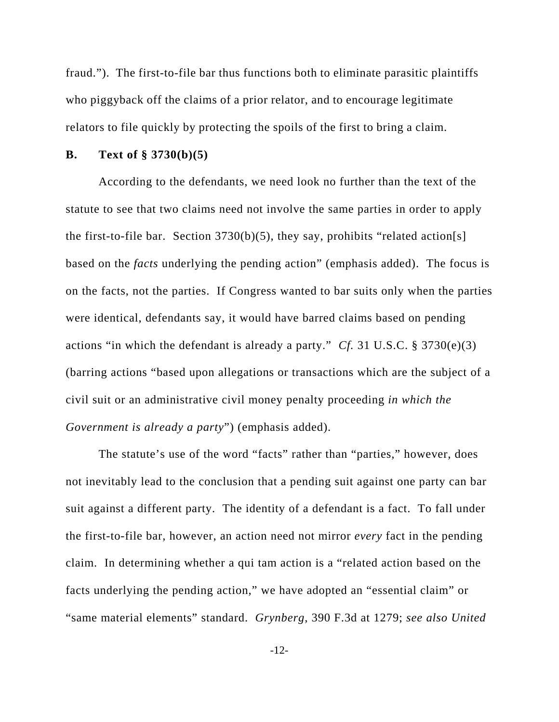fraud."). The first-to-file bar thus functions both to eliminate parasitic plaintiffs who piggyback off the claims of a prior relator, and to encourage legitimate relators to file quickly by protecting the spoils of the first to bring a claim.

#### **B. Text of § 3730(b)(5)**

According to the defendants, we need look no further than the text of the statute to see that two claims need not involve the same parties in order to apply the first-to-file bar. Section  $3730(b)(5)$ , they say, prohibits "related action[s] based on the *facts* underlying the pending action" (emphasis added). The focus is on the facts, not the parties. If Congress wanted to bar suits only when the parties were identical, defendants say, it would have barred claims based on pending actions "in which the defendant is already a party." *Cf.* 31 U.S.C. § 3730(e)(3) (barring actions "based upon allegations or transactions which are the subject of a civil suit or an administrative civil money penalty proceeding *in which the Government is already a party*") (emphasis added).

The statute's use of the word "facts" rather than "parties," however, does not inevitably lead to the conclusion that a pending suit against one party can bar suit against a different party. The identity of a defendant is a fact. To fall under the first-to-file bar, however, an action need not mirror *every* fact in the pending claim. In determining whether a qui tam action is a "related action based on the facts underlying the pending action," we have adopted an "essential claim" or "same material elements" standard. *Grynberg*, 390 F.3d at 1279; *see also United*

-12-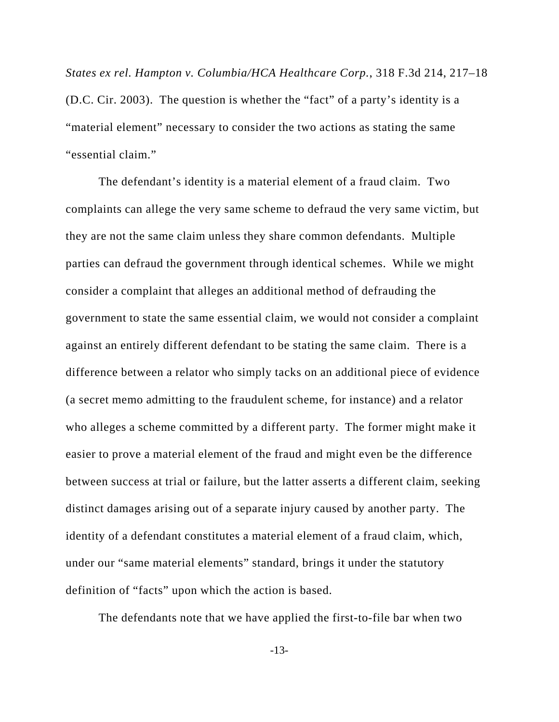*States ex rel. Hampton v. Columbia/HCA Healthcare Corp.*, 318 F.3d 214, 217–18 (D.C. Cir. 2003). The question is whether the "fact" of a party's identity is a "material element" necessary to consider the two actions as stating the same "essential claim."

The defendant's identity is a material element of a fraud claim. Two complaints can allege the very same scheme to defraud the very same victim, but they are not the same claim unless they share common defendants. Multiple parties can defraud the government through identical schemes. While we might consider a complaint that alleges an additional method of defrauding the government to state the same essential claim, we would not consider a complaint against an entirely different defendant to be stating the same claim. There is a difference between a relator who simply tacks on an additional piece of evidence (a secret memo admitting to the fraudulent scheme, for instance) and a relator who alleges a scheme committed by a different party. The former might make it easier to prove a material element of the fraud and might even be the difference between success at trial or failure, but the latter asserts a different claim, seeking distinct damages arising out of a separate injury caused by another party. The identity of a defendant constitutes a material element of a fraud claim, which, under our "same material elements" standard, brings it under the statutory definition of "facts" upon which the action is based.

The defendants note that we have applied the first-to-file bar when two

-13-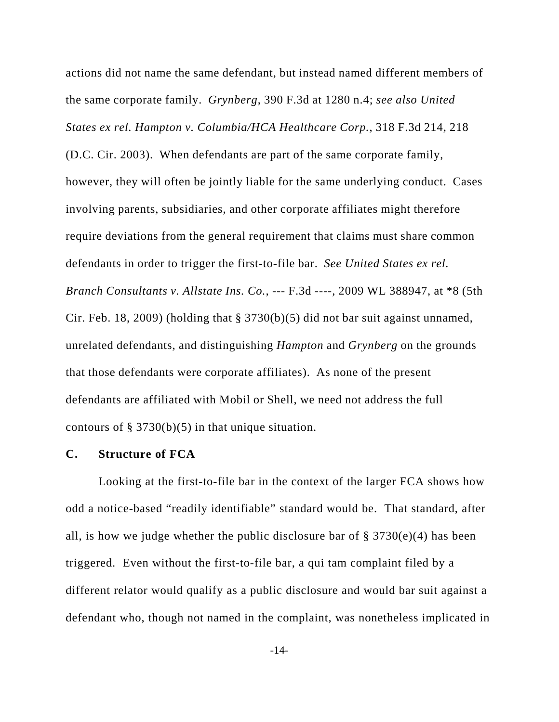actions did not name the same defendant, but instead named different members of the same corporate family. *Grynberg*, 390 F.3d at 1280 n.4; *see also United States ex rel. Hampton v. Columbia/HCA Healthcare Corp.*, 318 F.3d 214, 218

(D.C. Cir. 2003). When defendants are part of the same corporate family, however, they will often be jointly liable for the same underlying conduct. Cases involving parents, subsidiaries, and other corporate affiliates might therefore require deviations from the general requirement that claims must share common defendants in order to trigger the first-to-file bar. *See United States ex rel. Branch Consultants v. Allstate Ins. Co.*, --- F.3d ----, 2009 WL 388947, at \*8 (5th Cir. Feb. 18, 2009) (holding that § 3730(b)(5) did not bar suit against unnamed, unrelated defendants, and distinguishing *Hampton* and *Grynberg* on the grounds that those defendants were corporate affiliates). As none of the present defendants are affiliated with Mobil or Shell, we need not address the full contours of  $\S 3730(b)(5)$  in that unique situation.

#### **C. Structure of FCA**

Looking at the first-to-file bar in the context of the larger FCA shows how odd a notice-based "readily identifiable" standard would be. That standard, after all, is how we judge whether the public disclosure bar of  $\S 3730(e)(4)$  has been triggered. Even without the first-to-file bar, a qui tam complaint filed by a different relator would qualify as a public disclosure and would bar suit against a defendant who, though not named in the complaint, was nonetheless implicated in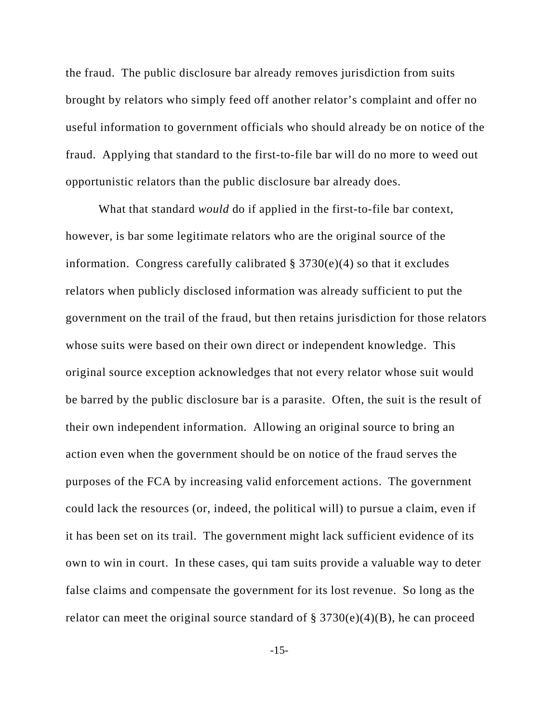the fraud. The public disclosure bar already removes jurisdiction from suits brought by relators who simply feed off another relator's complaint and offer no useful information to government officials who should already be on notice of the fraud. Applying that standard to the first-to-file bar will do no more to weed out opportunistic relators than the public disclosure bar already does.

What that standard *would* do if applied in the first-to-file bar context, however, is bar some legitimate relators who are the original source of the information. Congress carefully calibrated  $\S 3730(e)(4)$  so that it excludes relators when publicly disclosed information was already sufficient to put the government on the trail of the fraud, but then retains jurisdiction for those relators whose suits were based on their own direct or independent knowledge. This original source exception acknowledges that not every relator whose suit would be barred by the public disclosure bar is a parasite. Often, the suit is the result of their own independent information. Allowing an original source to bring an action even when the government should be on notice of the fraud serves the purposes of the FCA by increasing valid enforcement actions. The government could lack the resources (or, indeed, the political will) to pursue a claim, even if it has been set on its trail. The government might lack sufficient evidence of its own to win in court. In these cases, qui tam suits provide a valuable way to deter false claims and compensate the government for its lost revenue. So long as the relator can meet the original source standard of  $\S 3730(e)(4)(B)$ , he can proceed

-15-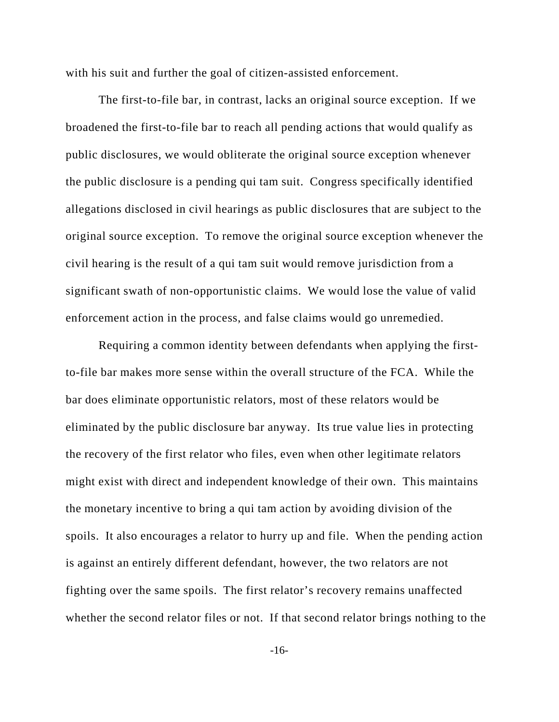with his suit and further the goal of citizen-assisted enforcement.

The first-to-file bar, in contrast, lacks an original source exception. If we broadened the first-to-file bar to reach all pending actions that would qualify as public disclosures, we would obliterate the original source exception whenever the public disclosure is a pending qui tam suit. Congress specifically identified allegations disclosed in civil hearings as public disclosures that are subject to the original source exception. To remove the original source exception whenever the civil hearing is the result of a qui tam suit would remove jurisdiction from a significant swath of non-opportunistic claims. We would lose the value of valid enforcement action in the process, and false claims would go unremedied.

Requiring a common identity between defendants when applying the firstto-file bar makes more sense within the overall structure of the FCA. While the bar does eliminate opportunistic relators, most of these relators would be eliminated by the public disclosure bar anyway. Its true value lies in protecting the recovery of the first relator who files, even when other legitimate relators might exist with direct and independent knowledge of their own. This maintains the monetary incentive to bring a qui tam action by avoiding division of the spoils. It also encourages a relator to hurry up and file. When the pending action is against an entirely different defendant, however, the two relators are not fighting over the same spoils. The first relator's recovery remains unaffected whether the second relator files or not. If that second relator brings nothing to the

-16-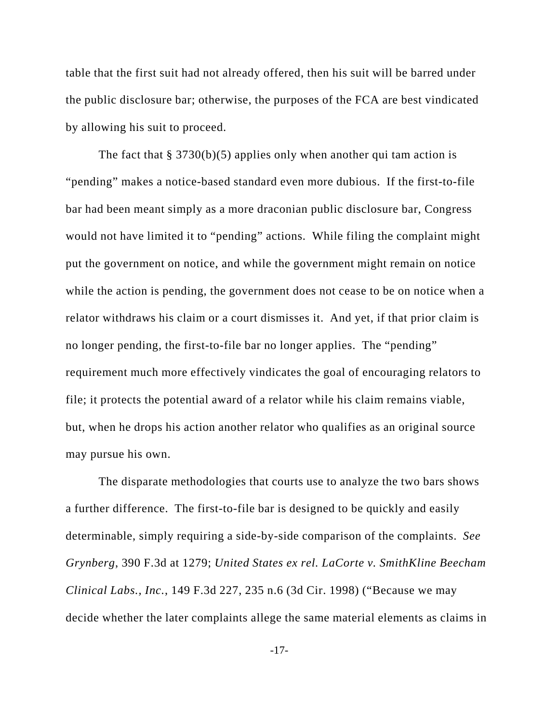table that the first suit had not already offered, then his suit will be barred under the public disclosure bar; otherwise, the purposes of the FCA are best vindicated by allowing his suit to proceed.

The fact that  $\S 3730(b)(5)$  applies only when another qui tam action is "pending" makes a notice-based standard even more dubious. If the first-to-file bar had been meant simply as a more draconian public disclosure bar, Congress would not have limited it to "pending" actions. While filing the complaint might put the government on notice, and while the government might remain on notice while the action is pending, the government does not cease to be on notice when a relator withdraws his claim or a court dismisses it. And yet, if that prior claim is no longer pending, the first-to-file bar no longer applies. The "pending" requirement much more effectively vindicates the goal of encouraging relators to file; it protects the potential award of a relator while his claim remains viable, but, when he drops his action another relator who qualifies as an original source may pursue his own.

The disparate methodologies that courts use to analyze the two bars shows a further difference. The first-to-file bar is designed to be quickly and easily determinable, simply requiring a side-by-side comparison of the complaints. *See Grynberg*, 390 F.3d at 1279; *United States ex rel. LaCorte v. SmithKline Beecham Clinical Labs., Inc.*, 149 F.3d 227, 235 n.6 (3d Cir. 1998) ("Because we may decide whether the later complaints allege the same material elements as claims in

-17-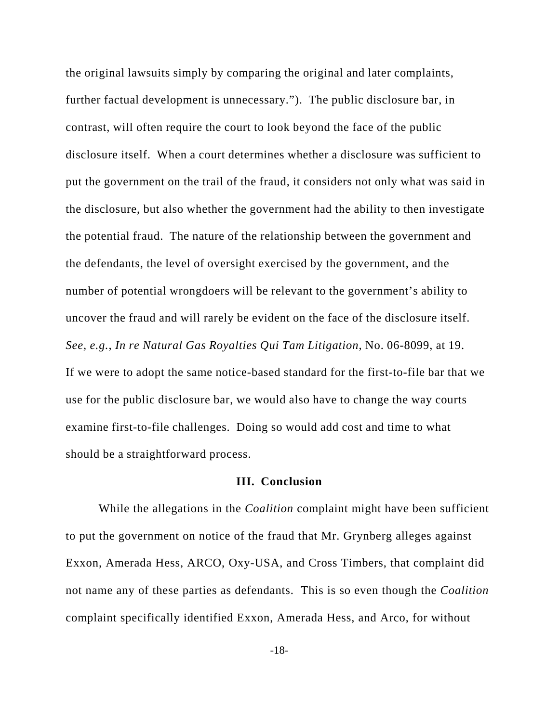the original lawsuits simply by comparing the original and later complaints, further factual development is unnecessary."). The public disclosure bar, in contrast, will often require the court to look beyond the face of the public disclosure itself. When a court determines whether a disclosure was sufficient to put the government on the trail of the fraud, it considers not only what was said in the disclosure, but also whether the government had the ability to then investigate the potential fraud. The nature of the relationship between the government and the defendants, the level of oversight exercised by the government, and the number of potential wrongdoers will be relevant to the government's ability to uncover the fraud and will rarely be evident on the face of the disclosure itself. *See, e.g.*, *In re Natural Gas Royalties Qui Tam Litigation*, No. 06-8099, at 19. If we were to adopt the same notice-based standard for the first-to-file bar that we use for the public disclosure bar, we would also have to change the way courts examine first-to-file challenges. Doing so would add cost and time to what should be a straightforward process.

#### **III. Conclusion**

While the allegations in the *Coalition* complaint might have been sufficient to put the government on notice of the fraud that Mr. Grynberg alleges against Exxon, Amerada Hess, ARCO, Oxy-USA, and Cross Timbers, that complaint did not name any of these parties as defendants. This is so even though the *Coalition* complaint specifically identified Exxon, Amerada Hess, and Arco, for without

-18-